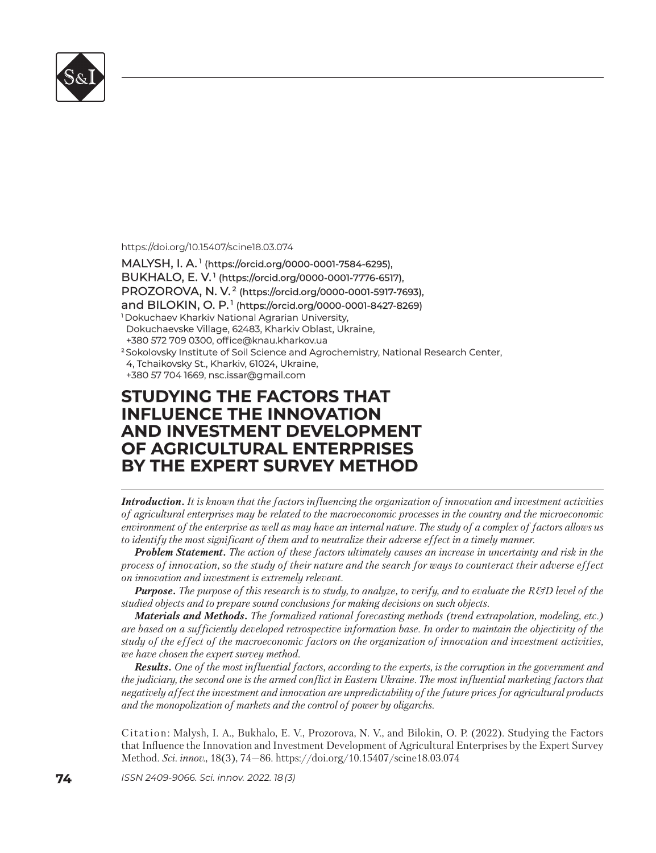

https://doi.org/10.15407/scine18.03.074

MALYSH, I. A.<sup>1</sup> (https://orcid.org/0000-0001-7584-6295), BUKHALO, E. V.<sup>1</sup> (https://orcid.org/0000-0001-7776-6517), PROZOROVA, N. V.<sup>2</sup> (https://orcid.org/0000-0001-5917-7693), and BILOKIN, O. P.<sup>1</sup> (https://orcid.org/0000-0001-8427-8269) <sup>1</sup> Dokuchaev Kharkiv National Agrarian University, Dokuchaevske Village, 62483, Kharkiv Oblast, Ukraine, +380 572 709 0300, office@knau.kharkov.ua <sup>2</sup> Sokolovsky Institute of Soil Science and Agrochemistry, National Research Center, 4, Tchaikovsky St., Kharkiv, 61024, Ukraine, +380 57 704 1669, nsc.issar@gmail.com +380 57 704 1669, nsc.issar@gmail.com

## **STUDYING THE FACTORS THAT TUDYING THE FACTORS THAT INFLUENCE THE INNOVATION NFLUENCE THE INNOVATION AND INVESTMENT DEVELOPMENT ND INVESTMENT DEVELOPMENT OF AGRICULTURAL ENTERPRISES F AGRICULTURAL ENTERPRISES BY THE EXPERT SURVEY METHOD Y THE EXPERT SURVEY**

*Introduction. It is known that the factors influencing the organization of innovation and investment activities of agricultural enterprises may be related to the macroeconomic processes in the country and the microeconomic environment of the enterprise as well as may have an internal nature. The study of a complex of factors allows us to identify the most significant of them and to neutralize their adverse effect in a timely manner.* 

*Problem Statement. The action of these factors ultimately causes an increase in uncertainty and risk in the process of innovation, so the study of their nature and the search for ways to counteract their adverse effect on innovation and investment is extremely relevant.*

*Purpose. The purpose of this research is to study, to analyze, to verify, and to evaluate the R&D level of the studied objects and to prepare sound conclusions for making decisions on such objects.*

*Materials and Methods. The formalized rational forecasting methods (trend extrapolation, modeling, etc.) are based on a sufficiently developed retrospective information base. In order to maintain the objectivity of the study of the effect of the macroeconomic factors on the organization of innovation and investment activities, we have chosen the expert survey method.*

*Results. One of the most influential factors, according to the experts, is the corruption in the government and the judiciary, the second one is the armed conflict in Eastern Ukraine. The most influential marketing factors that negatively affect the investment and innovation are unpredictability of the future prices for agricultural products and the monopolization of markets and the control of power by oligarchs.*

Citation: Malysh, I. A., Bukhalo, E. V., Prozorova, N. V., and Bilokin, O. P. (2022). Studying the Factors that Influence the Innovation and Investment Development of Agricultural Enterprises by the Expert Survey Method. *Sci. innov.*, 18(3), 74–86. https://doi.org/10.15407/scine18.03.074

**74** *ISSN 2409-9066. Sci. innov.* 2022. 18 (3)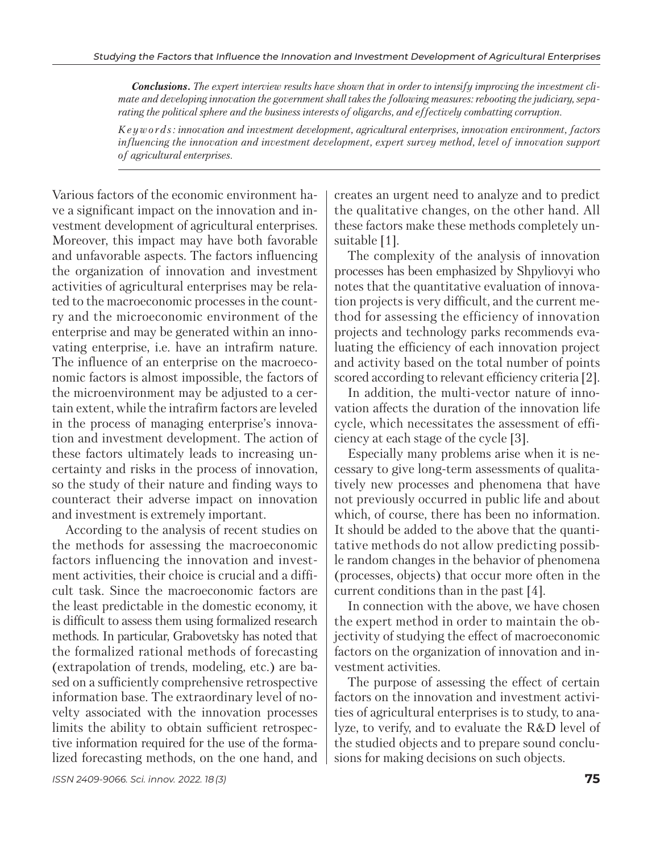*Conclusions. The expert interview results have shown that in order to intensify improving the investment climate and developing innovation the government shall takes the following measures: rebooting the judiciary, separating the political sphere and the business interests of oligarchs, and effectively combatting corruption.* 

*K e y w o r d s : innovation and investment development, agricultural enterprises, innovation environment, factors influencing the innovation and investment development, expert survey method, level of innovation support of agricultural enterprises.*

Various factors of the economic environment have a significant impact on the innovation and investment development of agricultural enterprises. Moreover, this impact may have both favorable and unfavorable aspects. The factors influencing the organization of innovation and investment activities of agricultural enterprises may be related to the macroeconomic processes in the country and the microeconomic environment of the enterprise and may be generated within an innovating enterprise, i.e. have an intrafirm nature. The influence of an enterprise on the macroeconomic factors is almost impossible, the factors of the microenvironment may be adjusted to a certain extent, while the intrafirm factors are leveled in the process of managing enterprise's innovation and investment development. The action of these factors ultimately leads to increasing uncertainty and risks in the process of innovation, so the study of their nature and finding ways to counteract their adverse impact on innovation and investment is extremely important.

According to the analysis of recent studies on the methods for assessing the macroeconomic factors influencing the innovation and investment activities, their choice is crucial and a difficult task. Since the macroeconomic factors are the least predictable in the domestic economy, it is difficult to assess them using formalized research methods. In particular, Grabovetsky has noted that the formalized rational methods of forecasting (extrapolation of trends, modeling, etc.) are based on a sufficiently comprehensive retrospective information base. The extraordinary level of novelty associated with the innovation processes limits the ability to obtain sufficient retrospective information required for the use of the formalized forecasting methods, on the one hand, and

creates an urgent need to analyze and to predict the qualitative changes, on the other hand. All these factors make these methods completely unsuitable [1].

The complexity of the analysis of innovation processes has been emphasized by Shpyliovyi who notes that the quantitative evaluation of innovation projects is very difficult, and the current method for assessing the efficiency of innovation projects and technology parks recommends evaluating the efficiency of each innovation project and activity based on the total number of points scored according to relevant efficiency criteria [2].

In addition, the multi-vector nature of innovation affects the duration of the innovation life cycle, which necessitates the assessment of efficiency at each stage of the cycle [3].

Especially many problems arise when it is necessary to give long-term assessments of qualitatively new processes and phenomena that have not previously occurred in public life and about which, of course, there has been no information. It should be added to the above that the quantitative methods do not allow predicting possible random changes in the behavior of phenomena (processes, objects) that occur more often in the current conditions than in the past [4].

In connection with the above, we have chosen the expert method in order to maintain the objectivity of studying the effect of macroeconomic factors on the organization of innovation and investment activities.

The purpose of assessing the effect of certain factors on the innovation and investment activities of agricultural enterprises is to study, to analyze, to verify, and to evaluate the R&D level of the studied objects and to prepare sound conclusions for making decisions on such objects.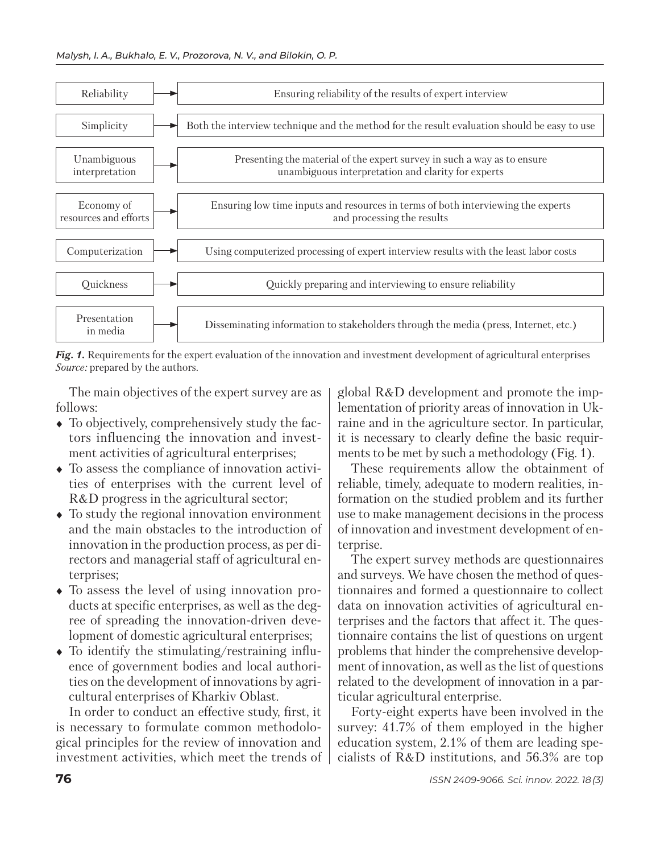

*Fig. 1.* Requirements for the expert evaluation of the innovation and investment development of agricultural enterprises *Source:* prepared by the authors.

The main objectives of the expert survey are as follows:

- To objectively, comprehensively study the factors influencing the innovation and investment activities of agricultural enterprises;
- To assess the compliance of innovation activities of enterprises with the current level of R&D progress in the agricultural sector;
- To study the regional innovation environment and the main obstacles to the introduction of innovation in the production process, as per directors and managerial staff of agricultural enterprises;
- To assess the level of using innovation products at specific enterprises, as well as the degree of spreading the innovation-driven development of domestic agricultural enterprises;
- $\bullet$  To identify the stimulating/restraining influence of government bodies and local authorities on the development of innovations by agricultural enterprises of Kharkiv Oblast.

In order to conduct an effective study, first, it is necessary to formulate common methodological principles for the review of innovation and in vestment activities, which meet the trends of global R&D development and promote the implementation of priority areas of innovation in Ukraine and in the agriculture sector. In particular, it is necessary to clearly define the basic requirments to be met by such a methodology (Fig. 1).

These requirements allow the obtainment of reliable, timely, adequate to modern realities, information on the studied problem and its further use to make management decisions in the process of innovation and investment development of enterprise.

The expert survey methods are questionnaires and surveys. We have chosen the method of questionnaires and formed a questionnaire to collect data on innovation activities of agricultural enterprises and the factors that affect it. The questionnaire contains the list of questions on urgent problems that hinder the comprehensive development of innovation, as well as the list of questions related to the development of innovation in a particular agricultural enterprise.

Forty-eight experts have been involved in the survey: 41.7% of them employed in the higher education system, 2.1% of them are leading specialists of R&D institutions, and 56.3% are top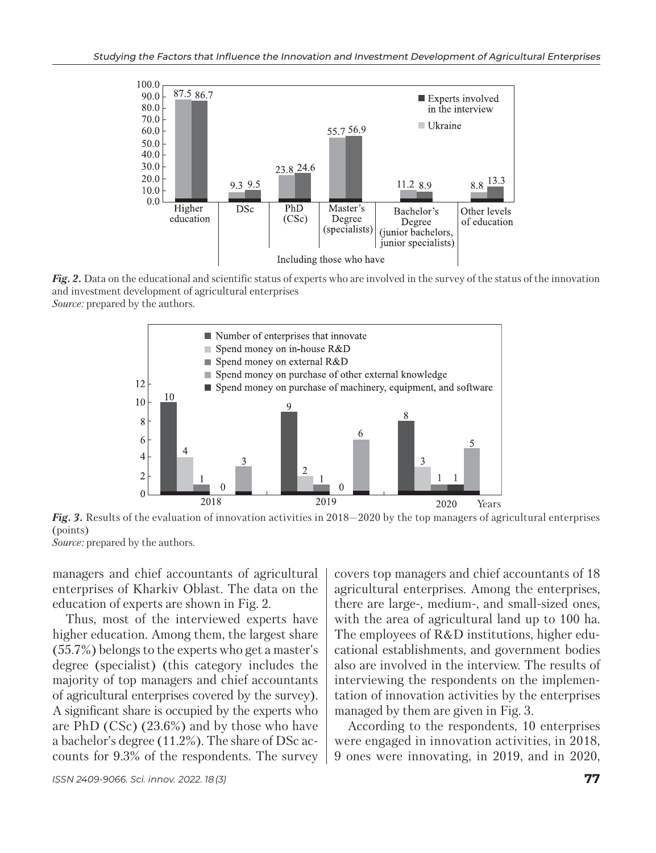

*Fig. 2.* Data on the educational and scientific status of experts who are involved in the survey of the status of the innovation and investment development of agricultural enterprises *Source:* prepared by the authors.



*Fig. 3.* Results of the evaluation of innovation activities in 2018—2020 by the top managers of agricultural enterprises (points) *Source:* prepared by the authors.

managers and chief accountants of agricultural enterprises of Kharkiv Oblast. The data on the education of experts are shown in Fig. 2.

Thus, most of the interviewed experts have higher education. Among them, the largest share (55.7%) belongs to the experts who get a master's degree (specialist) (this category includes the majority of top managers and chief accountants of agricultural enterprises covered by the survey). A significant share is occupied by the experts who are PhD (CSc) (23.6%) and by those who have a bachelor's degree (11.2%). The share of DSc accounts for 9.3% of the respondents. The survey

covers top managers and chief accountants of 18 agricultural enterprises. Among the enterprises, there are large-, medium-, and small-sized ones, with the area of agricultural land up to 100 ha. The employees of R&D institutions, higher educational establishments, and government bodies also are involved in the interview. The results of interviewing the respondents on the implementation of innovation activities by the enterprises managed by them are given in Fig. 3.

According to the respondents, 10 enterprises were engaged in innovation activities, in 2018, 9 ones were innovating, in 2019, and in 2020,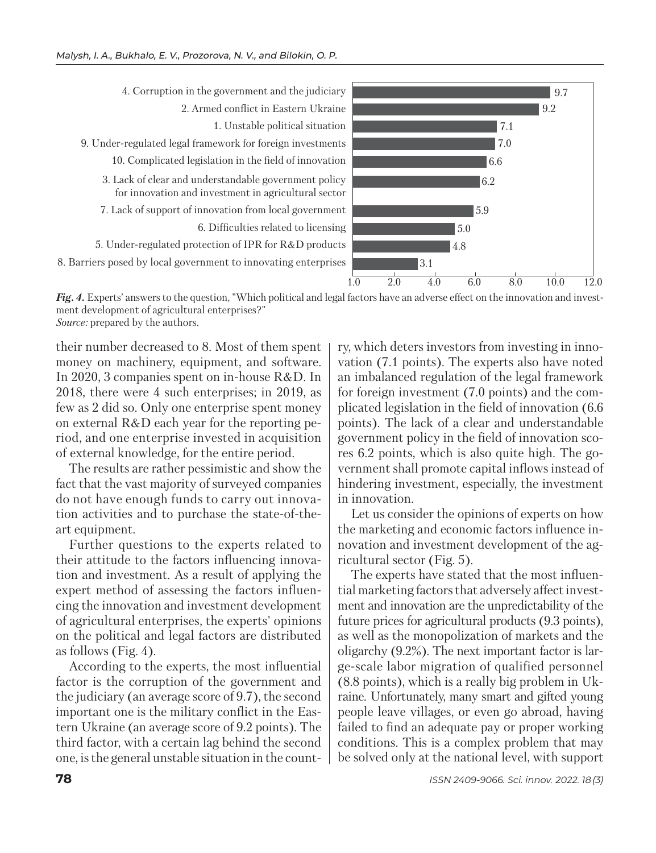4. Corruption in the government and the judiciary 2. Armed conflict in Eastern Ukraine 1. Unstable political situation 9. Under-regulated legal framework for foreign investments 10. Complicated legislation in the field of innovation 3. Lack of clear and understandable government policy for innovation and investment in agricultural sector 7. Lack of support of innovation from local government 6. Difficulties related to licensing 5. Under-regulated protection of IPR for R&D products 8. Barriers posed by local government to innovating enterprises



*Fig. 4.* Experts' answers to the question, "Which political and legal factors have an adverse effect on the innovation and investment development of agricultural enterprises?"

*Source:* prepared by the authors.

their number decreased to 8. Most of them spent money on machinery, equipment, and software. In 2020, 3 companies spent on in-house R&D. In 2018, there were 4 such enterprises; in 2019, as few as 2 did so. Only one enterprise spent money on external R&D each year for the reporting period, and one enterprise invested in acquisition of external knowledge, for the entire period.

The results are rather pessimistic and show the fact that the vast majority of surveyed companies do not have enough funds to carry out innovation activities and to purchase the state-of-theart equipment.

Further questions to the experts related to their attitude to the factors influencing innovation and investment. As a result of applying the expert method of assessing the factors influencing the innovation and investment development of agricultural enterprises, the experts' opinions on the political and legal factors are distributed as follows (Fig. 4).

According to the experts, the most influential factor is the corruption of the government and the judiciary (an average score of 9.7), the second important one is the military conflict in the Eastern Ukraine (an average score of 9.2 points). The third factor, with a certain lag behind the second one, is the general unstable situation in the country, which deters investors from investing in innovation (7.1 points). The experts also have noted an imbalanced regulation of the legal framework for foreign investment (7.0 points) and the complicated legislation in the field of innovation (6.6 points). The lack of a clear and understandable government policy in the field of innovation scores 6.2 points, which is also quite high. The government shall promote capital inflows instead of hindering investment, especially, the investment in innovation.

Let us consider the opinions of experts on how the marketing and economic factors influence innovation and investment development of the agricultural sector (Fig. 5).

The experts have stated that the most influential marketing factors that adversely affect investment and innovation are the unpredictability of the future prices for agricultural products (9.3 points), as well as the monopolization of markets and the oligarchy (9.2%). The next important factor is large-scale labor migration of qualified personnel (8.8 points), which is a really big problem in Ukraine. Unfortunately, many smart and gifted young people leave villages, or even go abroad, having failed to find an adequate pay or proper working conditions. This is a complex problem that may be solved only at the national level, with support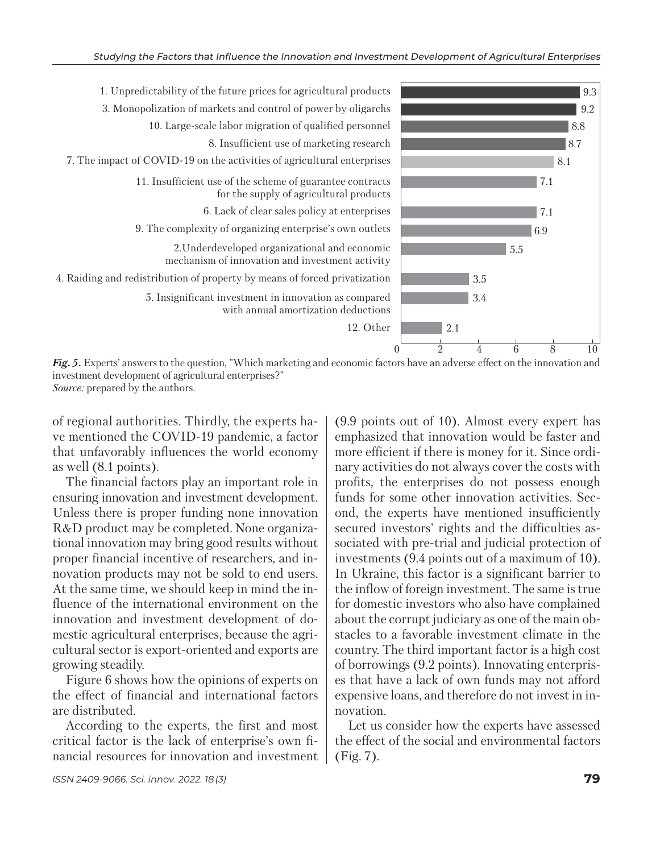

*Fig. 5.* Experts' answers to the question, "Which marketing and economic factors have an adverse effect on the innovation and investment development of agricultural enterprises?" *Source:* prepared by the authors.

of regional authorities. Thirdly, the experts have mentioned the COVID-19 pandemic, a factor that unfavorably influences the world economy as well (8.1 points).

The financial factors play an important role in ensuring innovation and investment development. Unless there is proper funding none innovation R&D product may be completed. None organizational innovation may bring good results without proper financial incentive of researchers, and innovation products may not be sold to end users. At the same time, we should keep in mind the influence of the international environment on the innovation and investment development of domestic agricultural enterprises, because the agricultural sector is export-oriented and exports are growing steadily.

Figure 6 shows how the opinions of experts on the effect of financial and international factors are distributed.

According to the experts, the first and most critical factor is the lack of enterprise's own financial resources for innovation and investment emphasized that innovation would be faster and more efficient if there is money for it. Since ordinary activities do not always cover the costs with profits, the enterprises do not possess enough funds for some other innovation activities. Second, the experts have mentioned insufficiently secured investors' rights and the difficulties associated with pre-trial and judicial protection of investments (9.4 points out of a maximum of 10). In Ukraine, this factor is a significant barrier to the inflow of foreign investment. The same is true for domestic investors who also have complained about the corrupt judiciary as one of the main obstacles to a favorable investment climate in the country. The third important factor is a high cost of borrowings (9.2 points). Innovating enterprises that have a lack of own funds may not afford expensive loans, and therefore do not invest in innovation.

(9.9 points out of 10). Almost every expert has

Let us consider how the experts have assessed the effect of the social and environmental factors (Fig. 7).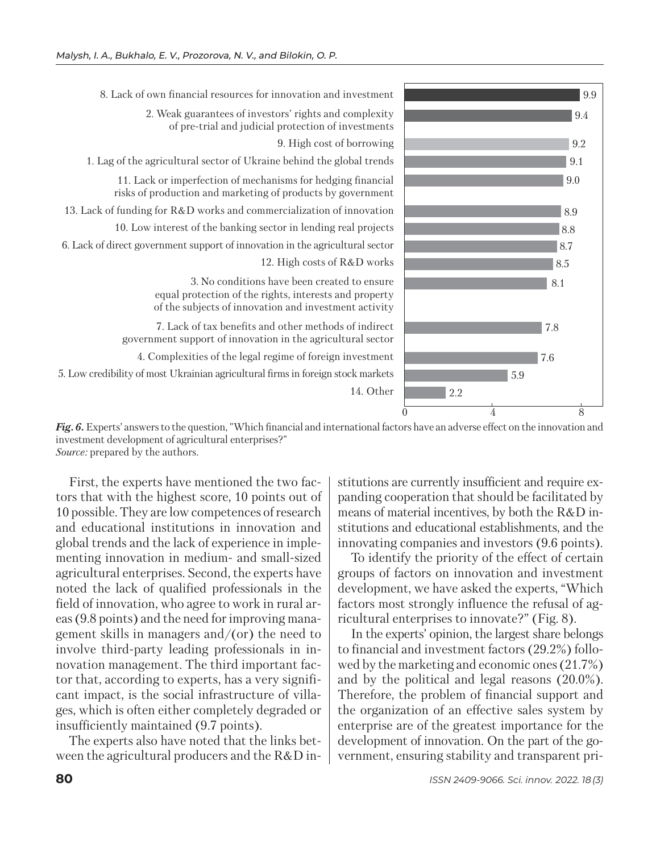



*Fig. 6.* Experts' answers to the question, "Which financial and international factors have an adverse effect on the innovation and investment development of agricultural enterprises?" *Source:* prepared by the authors.

First, the experts have mentioned the two factors that with the highest score, 10 points out of 10 possible. They are low competences of research and educational institutions in innovation and global trends and the lack of experience in implementing innovation in medium- and small-sized agricultural enterprises. Second, the experts have noted the lack of qualified professionals in the field of innovation, who agree to work in rural areas (9.8 points) and the need for improving management skills in managers and/(or) the need to in volve third-party leading professionals in innovation management. The third important factor that, according to experts, has a very significant impact, is the social infrastructure of villages, which is often either completely degraded or insufficiently maintained (9.7 points).

The experts also have noted that the links between the agricultural producers and the R&D institutions are currently insufficient and require expanding cooperation that should be facilitated by means of material incentives, by both the R&D institutions and educational establishments, and the innovating companies and investors (9.6 points).

To identify the priority of the effect of certain groups of factors on innovation and investment development, we have asked the experts, "Which factors most strongly influence the refusal of agricultural enterprises to innovate?" (Fig. 8).

In the experts' opinion, the largest share belongs to financial and investment factors (29.2%) followed by the marketing and economic ones (21.7%) and by the political and legal reasons (20.0%). Therefore, the problem of financial support and the organization of an effective sales system by enterprise are of the greatest importance for the development of innovation. On the part of the government, ensuring stability and transparent pri-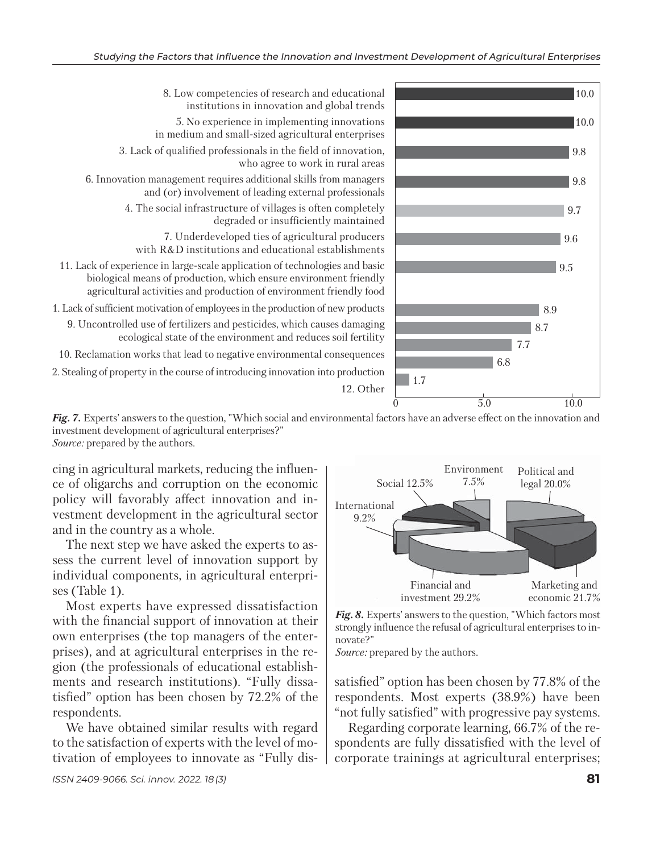

8. Low competencies of research and educational institutions in innovation and global trends 5. No experience in implementing innovations in medium and small-sized agricultural enterprises 3. Lack of qualified professionals in the field of innovation, who agree to work in rural areas 6. Innovation management requires additional skills from managers and (or) involvement of leading external professionals 4. The social infrastructure of villages is often completely degraded or insufficiently maintained 7. Underdeveloped ties of agricultural producers with R&D institutions and educational establishments 11. Lack of experience in large-scale application of technologies and basic biological means of production, which ensure environment friendly agricultural activities and production of environment friendly food 1. Lack of sufficient motivation of employees in the production of new products 9. Uncontrolled use of fertilizers and pesticides, which causes damaging

ecological state of the environment and reduces soil fertility 10. Reclamation works that lead to negative environmental consequences

2. Stealing of property in the course of introducing innovation into production



cing in agricultural markets, reducing the influence of oligarchs and corruption on the economic policy will favorably affect innovation and investment development in the agricultural sector and in the country as a whole.

The next step we have asked the experts to assess the current level of innovation support by individual components, in agricultural enterprises (Table 1).

Most experts have expressed dissatisfaction with the financial support of innovation at their own enterprises (the top managers of the enterprises), and at agricultural enterprises in the region (the professionals of educational establishments and research institutions). "Fully dissatisfied" option has been chosen by 72.2% of the respondents.

We have obtained similar results with regard to the satisfaction of experts with the level of motivation of employees to innovate as "Fully dis-



*Fig. 8.* Experts' answers to the question, "Which factors most strongly influence the refusal of agricultural enterprises to innovate?"

*Source:* prepared by the authors.

satisfied" option has been chosen by 77.8% of the respondents. Most experts (38.9%) have been "not fully satisfied" with progressive pay systems.

Regarding corporate learning, 66.7% of the respondents are fully dissatisfied with the level of corporate trainings at agricultural enterprises;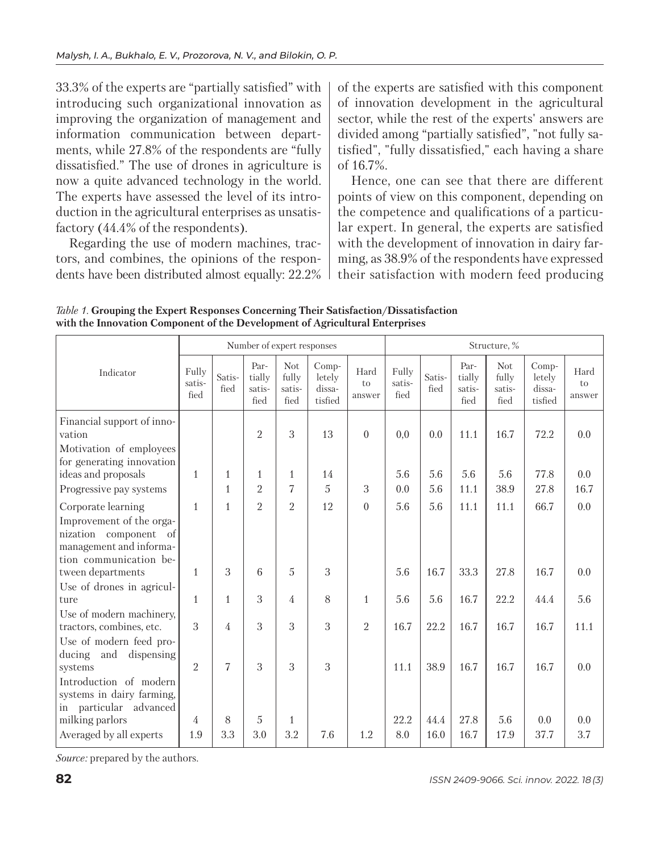33.3% of the experts are "partially satisfied" with introducing such organizational innovation as im proving the organization of management and information communication between departments, while 27.8% of the respondents are "fully dissatisfied." The use of drones in agriculture is now a quite advanced technology in the world. The experts have assessed the level of its introduction in the agricultural enterprises as unsatisfactory (44.4% of the respondents).

Regarding the use of modern machines, tractors, and combines, the opinions of the respondents have been distributed almost equally: 22.2% of the experts are satisfied with this component of innovation development in the agricultural sector, while the rest of the experts' answers are divided among "partially satisfied", "not fully satisfied", "fully dissatisfied," each having a share of 16.7%.

Hence, one can see that there are different points of view on this component, depending on the competence and qualifications of a particular expert. In general, the experts are satisfied with the development of innovation in dairy farming, as 38.9% of the respondents have expressed their satisfaction with modern feed producing

|                                                                                                        |                         |                | Number of expert responses       |                                       |                                      |                      |                         |                |                                  | Structure, %                          |                                      |                      |
|--------------------------------------------------------------------------------------------------------|-------------------------|----------------|----------------------------------|---------------------------------------|--------------------------------------|----------------------|-------------------------|----------------|----------------------------------|---------------------------------------|--------------------------------------|----------------------|
| Indicator                                                                                              | Fully<br>satis-<br>fied | Satis-<br>fied | Par-<br>tially<br>satis-<br>fied | <b>Not</b><br>fully<br>satis-<br>fied | Comp-<br>letely<br>dissa-<br>tisfied | Hard<br>to<br>answer | Fully<br>satis-<br>fied | Satis-<br>fied | Par-<br>tially<br>satis-<br>fied | <b>Not</b><br>fully<br>satis-<br>fied | Comp-<br>letely<br>dissa-<br>tisfied | Hard<br>to<br>answer |
| Financial support of inno-<br>vation                                                                   |                         |                | $\overline{2}$                   | 3                                     | 13                                   | $\boldsymbol{0}$     | 0,0                     | 0.0            | 11.1                             | 16.7                                  | 72.2                                 | 0.0                  |
| Motivation of employees<br>for generating innovation                                                   |                         |                |                                  |                                       |                                      |                      |                         |                |                                  |                                       |                                      |                      |
| ideas and proposals                                                                                    | $\mathbf{1}$            | $\mathbf{1}$   | $\mathbf{1}$                     | $\mathbf{1}$                          | 14                                   |                      | 5.6                     | 5.6            | 5.6                              | 5.6                                   | 77.8                                 | 0.0                  |
| Progressive pay systems                                                                                |                         | $\mathbf{1}$   | $\overline{2}$                   | 7                                     | 5                                    | 3                    | 0.0                     | 5.6            | 11.1                             | 38.9                                  | 27.8                                 | 16.7                 |
| Corporate learning                                                                                     | $\mathbf{1}$            | $\mathbf{1}$   | $\overline{2}$                   | $\overline{2}$                        | 12                                   | $\mathbf{0}$         | 5.6                     | 5.6            | 11.1                             | 11.1                                  | 66.7                                 | 0.0                  |
| Improvement of the orga-<br>nization component of<br>management and informa-<br>tion communication be- |                         |                |                                  |                                       |                                      |                      |                         |                |                                  |                                       |                                      |                      |
| tween departments                                                                                      | $\mathbf{1}$            | 3              | 6                                | 5                                     | 3                                    |                      | 5.6                     | 16.7           | 33.3                             | 27.8                                  | 16.7                                 | 0.0                  |
| Use of drones in agricul-<br>ture                                                                      | $\mathbf{1}$            | $\mathbf{1}$   | 3                                | 4                                     | 8                                    | $\mathbf{1}$         | 5.6                     | 5.6            | 16.7                             | 22.2                                  | 44.4                                 | 5.6                  |
| Use of modern machinery,<br>tractors, combines, etc.<br>Use of modern feed pro-                        | 3                       | 4              | 3                                | 3                                     | 3                                    | $\overline{2}$       | 16.7                    | 22.2           | 16.7                             | 16.7                                  | 16.7                                 | 11.1                 |
| and<br>dispensing<br>ducing<br>systems<br>Introduction of modern                                       | $\mathfrak{D}$          | 7              | 3                                | 3                                     | 3                                    |                      | 11.1                    | 38.9           | 16.7                             | 16.7                                  | 16.7                                 | 0.0                  |
| systems in dairy farming,<br>in particular advanced<br>milking parlors                                 | 4                       | 8              | $\overline{5}$                   | $\mathbf{1}$                          |                                      |                      | 22.2                    | 44.4           | 27.8                             | 5.6                                   | 0.0                                  | 0.0                  |
| Averaged by all experts                                                                                | 1.9                     | 3.3            | 3.0                              | 3.2                                   | 7.6                                  | 1.2                  | 8.0                     | 16.0           | 16.7                             | 17.9                                  | 37.7                                 | 3.7                  |

*Table 1.* **Grouping the Expert Responses Concerning Their Satisfaction/Dissatisfaction with the Innovation Component of the Development of Agricultural Enterprises**

*Source:* prepared by the authors.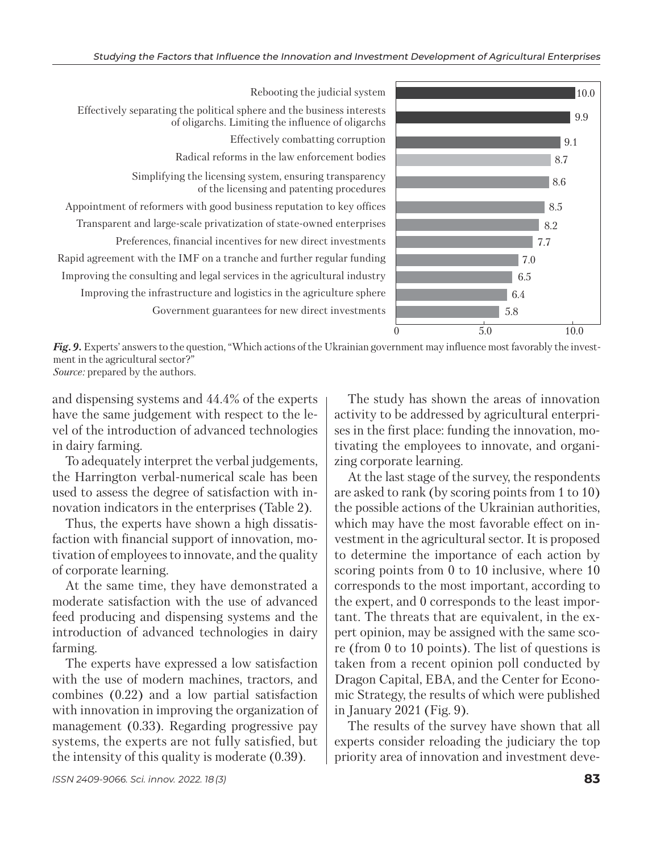

Rebooting the judicial system Effectively separating the political sphere and the business interests of oligarchs. Limiting the influence of oligarchs Effectively combatting corruption Radical reforms in the law enforcement bodies Simplifying the licensing system, ensuring transparency of the licensing and patenting procedures Appointment of reformers with good business reputation to key offices Transparent and large-scale privatization of state-owned enterprises Preferences, financial incentives for new direct investments Rapid agreement with the IMF on a tranche and further regular funding Improving the consulting and legal services in the agricultural industry Improving the infrastructure and logistics in the agriculture sphere Government guarantees for new direct investments

*Fig. 9.* Experts' answers to the question, "Which actions of the Ukrainian government may influence most favorably the investment in the agricultural sector?" *Source:* prepared by the authors.

and dispensing systems and 44.4% of the experts have the same judgement with respect to the level of the introduction of advanced technologies in dairy farming.

To adequately interpret the verbal judgements, the Harrington verbal-numerical scale has been used to assess the degree of satisfaction with innovation indicators in the enterprises (Table 2).

Thus, the experts have shown a high dissatisfaction with financial support of innovation, motivation of employees to innovate, and the quality of corporate learning.

At the same time, they have demonstrated a moderate satisfaction with the use of advanced feed producing and dispensing systems and the introduction of advanced technologies in dairy farming.

The experts have expressed a low satisfaction with the use of modern machines, tractors, and combines (0.22) and a low partial satisfaction with innovation in improving the organization of management (0.33). Regarding progressive pay systems, the experts are not fully satisfied, but the intensity of this quality is moderate (0.39).

The study has shown the areas of innovation activity to be addressed by agricultural enterprises in the first place: funding the innovation, motivating the employees to innovate, and organizing corporate learning.

At the last stage of the survey, the respondents are asked to rank (by scoring points from 1 to 10) the possible actions of the Ukrainian authorities, which may have the most favorable effect on investment in the agricultural sector. It is proposed to determine the importance of each action by scoring points from 0 to 10 inclusive, where 10 corresponds to the most important, according to the expert, and 0 corresponds to the least important. The threats that are equivalent, in the expert opinion, may be assigned with the same score (from 0 to 10 points). The list of questions is taken from a recent opinion poll conducted by Dragon Capital, EBA, and the Center for Economic Strategy, the results of which were published in January 2021 (Fig. 9).

The results of the survey have shown that all experts consider reloading the judiciary the top priority area of innovation and investment deve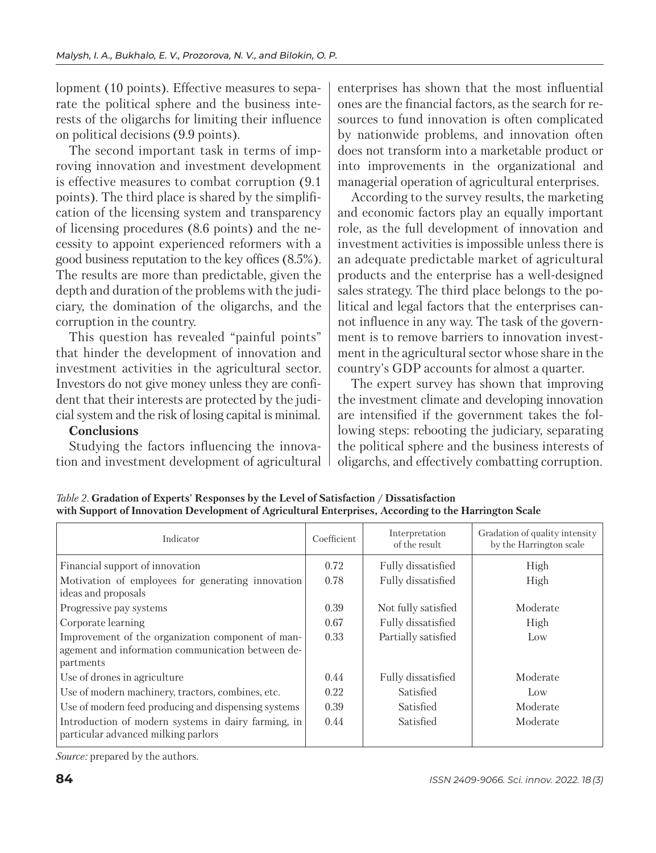lopment (10 points). Effective measures to separate the political sphere and the business interests of the oligarchs for limiting their influence on political decisions (9.9 points).

The second important task in terms of improving innovation and investment development is effective measures to combat corruption  $(9.1)$ points). The third place is shared by the simplification of the licensing system and transparency of licensing procedures (8.6 points) and the necessity to appoint experienced reformers with a good business reputation to the key offices (8.5%). The results are more than predictable, given the depth and duration of the problems with the judiciary, the domination of the oligarchs, and the corruption in the country.

This question has revealed "painful points" that hinder the development of innovation and investment activities in the agricultural sector. Investors do not give money unless they are confident that their interests are protected by the judicial system and the risk of losing capital is minimal.

## **Conclusions**

Studying the factors influencing the innovation and investment development of agricultural enterprises has shown that the most influential ones are the financial factors, as the search for resources to fund innovation is often complicated by nationwide problems, and innovation often does not transform into a marketable product or into improvements in the organizational and managerial operation of agricultural enterprises.

According to the survey results, the marketing and economic factors play an equally important role, as the full development of innovation and investment activities is impossible unless there is an adequate predictable market of agricultural products and the enterprise has a well-designed sales strategy. The third place belongs to the political and legal factors that the enterprises cannot influence in any way. The task of the government is to remove barriers to innovation investment in the agricultural sector whose share in the country's GDP accounts for almost a quarter.

The expert survey has shown that improving the investment climate and developing innovation are intensified if the government takes the following steps: rebooting the judiciary, separating the political sphere and the business interests of oligarchs, and effectively combatting corruption.

| Indicator                                                                                                           | Coefficient | Interpretation<br>of the result | Gradation of quality intensity<br>by the Harrington scale |
|---------------------------------------------------------------------------------------------------------------------|-------------|---------------------------------|-----------------------------------------------------------|
| Financial support of innovation                                                                                     | 0.72        | Fully dissatisfied              | High                                                      |
| Motivation of employees for generating innovation<br>ideas and proposals                                            | 0.78        | Fully dissatisfied              | High                                                      |
| Progressive pay systems                                                                                             | 0.39        | Not fully satisfied             | Moderate                                                  |
| Corporate learning                                                                                                  | 0.67        | Fully dissatisfied              | High                                                      |
| Improvement of the organization component of man-<br>agement and information communication between de-<br>partments | 0.33        | Partially satisfied             | Low                                                       |
| Use of drones in agriculture                                                                                        | 0.44        | Fully dissatisfied              | Moderate                                                  |
| Use of modern machinery, tractors, combines, etc.                                                                   | 0.22        | Satisfied                       | Low                                                       |
| Use of modern feed producing and dispensing systems                                                                 | 0.39        | Satisfied                       | Moderate                                                  |
| Introduction of modern systems in dairy farming, in<br>particular advanced milking parlors                          | 0.44        | Satisfied                       | Moderate                                                  |

*Table 2.* **Gradation of Experts' Responses by the Level of Satisfaction / Dissatisfaction with Support of Innovation Development of Agricultural Enterprises, According to the Harrington Scale** 

*Source:* prepared by the authors.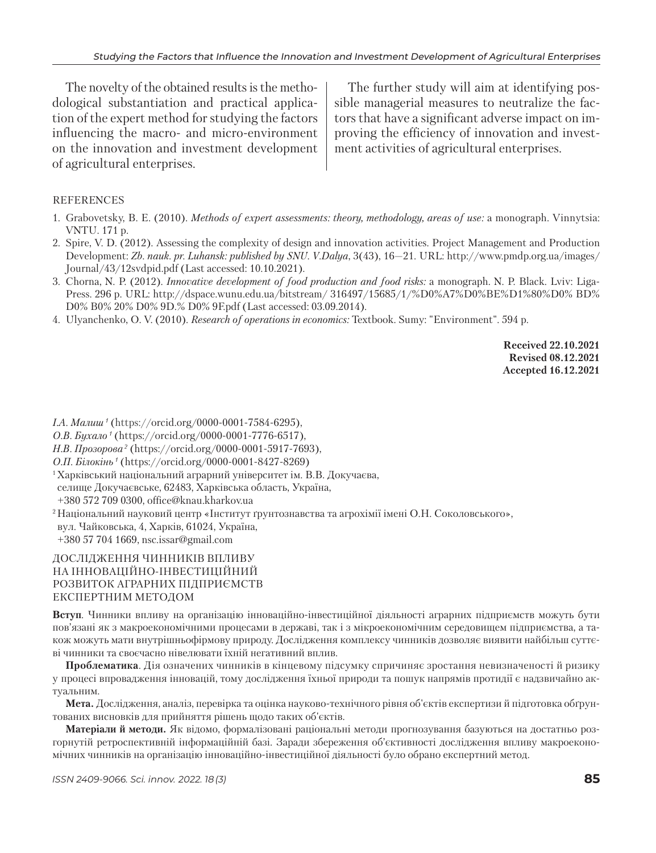The novelty of the obtained results is the methodological substantiation and practical application of the expert method for studying the factors influencing the macro- and micro-environment on the innovation and investment development of agricultural enterprises.

The further study will aim at identifying possible managerial measures to neutralize the factors that have a significant adverse impact on improving the efficiency of innovation and investment activities of agricultural enterprises.

## REFERENCES

- 1. Grabovetsky, B. E. (2010). *Methods of expert assessments: theory, methodology, areas of use:* a monograph. Vinnytsia: VNTU. 171 p.
- 2. Spire, V. D. (2012). Assessing the complexity of design and innovation activities. Project Management and Production Development: *Zb. nauk. pr. Luhansk: published by SNU. V.Dalya*, 3(43), 16—21. URL: http://www.pmdp.org.ua/images/ Journal/43/12svdpid.pdf (Last accessed: 10.10.2021).
- 3. Chorna, N. P. (2012). *Innovative development of food production and food risks:* a monograph. N. P. Black. Lviv: Liga-Press. 296 p. URL: http://dspace.wunu.edu.ua/bitstream/ 316497/15685/1/%D0%A7%D0%BE%D1%80%D0% BD% D0% B0% 20% D0% 9D.% D0% 9F.pdf (Last accessed: 03.09.2014).
- 4. Ulyanchenko, O. V. (2010). *Research of operations in economics:* Textbook. Sumy: "Environment". 594 p.

**Received 22.10.2021 Revised 08.12.2021 Accepted 16.12.2021**

*I.А. Малиш 1* (https://orcid.org/0000-0001-7584-6295),

*О.В. Бухало 1* (https://orcid.org/0000-0001-7776-6517),

*Н.В. Прозорова 2* (https://orcid.org/0000-0001-5917-7693),

*О.П. Бiлокiнь 1* (https://orcid.org/0000-0001-8427-8269)

1 Харківський національний аграрний університет ім. В.В. Докучаєва, селище Докучаєвське, 62483, Харківська область, Україна, +380 572 709 0300, office@knau.kharkov.ua

<sup>2</sup> Національний науковий центр «Інститут ґрунтознавства та агрохімії імені О.Н. Соколовського», вул. Чайковська, 4, Харків, 61024, Україна, +380 57 704 1669, nsc.issar@gmail.com

## ДОСЛІДЖЕННЯ ЧИННИКІВ ВПЛИВУ НА ІННОВАЦІЙНО-ІНВЕСТИЦІЙНИЙ РОЗВИТОК АГРАРНИХ ПІДПРИЄМСТВ ЕКСПЕРТНИМ МЕТОДОМ

**Вступ**. Чинники впливу на організацію інноваційно-інвестиційної діяльності аграрних підприємств можуть бути пов'язані як з макроекономічними процесами в державі, так і з мікроекономічним середовищем підприємства, а також можуть мати внутрішньофірмову природу. Дослідження комплексу чинників дозволяє виявити найбільш суттєві чинники та своєчасно нівелювати їхній негативний вплив.

**Проблематика**. Дія означених чинників в кінцевому підсумку спричиняє зростання невизначеності й ризику у процесі впровадження інновацій, тому дослідження їхньої природи та пошук напрямів протидії є надзвичайно актуальним.

**Мета.** Дослідження, аналіз, перевірка та оцінка науково-технічного рівня об'єктів експертизи й підготовка обґрунтованих висновків для прийняття рішень щодо таких об'єктів.

**Матеріали й методи.** Як відомо, формалізовані раціональні методи прогнозування базуються на достатньо розгорнутій ретроспективній інформаційній базі. Заради збереження об'єктивності дослідження впливу макроекономічних чинників на організацію інноваційно-інвестиційної діяльності було обрано експертний метод.